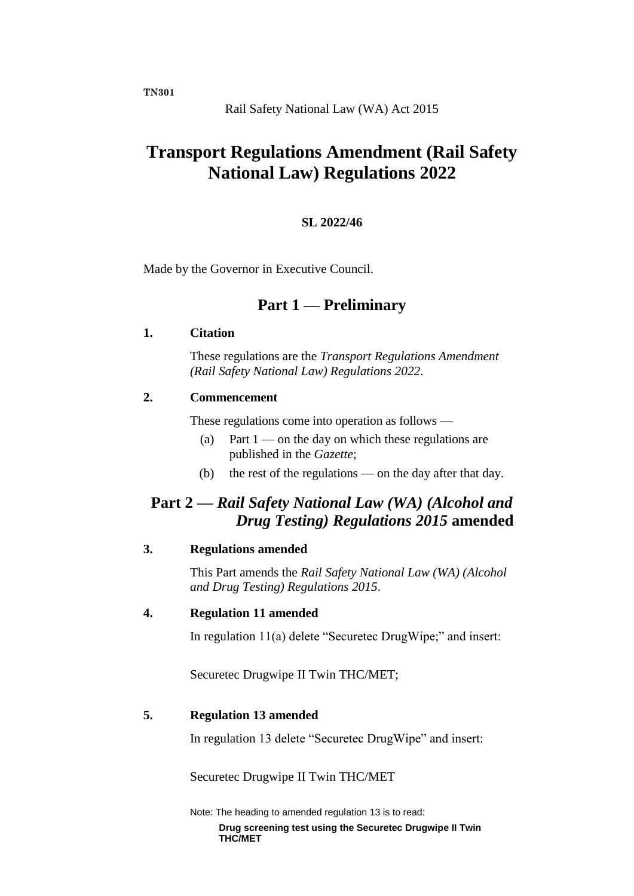# **Transport Regulations Amendment (Rail Safety National Law) Regulations 2022**

#### **SL 2022/46**

Made by the Governor in Executive Council.

# **Part 1 — Preliminary**

#### **1. Citation**

These regulations are the *Transport Regulations Amendment (Rail Safety National Law) Regulations 2022*.

#### **2. Commencement**

These regulations come into operation as follows —

- (a) Part  $1$  on the day on which these regulations are published in the *Gazette*;
- (b) the rest of the regulations on the day after that day.

# **Part 2 —** *Rail Safety National Law (WA) (Alcohol and Drug Testing) Regulations 2015* **amended**

# **3. Regulations amended**

This Part amends the *Rail Safety National Law (WA) (Alcohol and Drug Testing) Regulations 2015*.

#### **4. Regulation 11 amended**

In regulation 11(a) delete "Securetec DrugWipe;" and insert:

Securetec Drugwipe II Twin THC/MET;

#### **5. Regulation 13 amended**

In regulation 13 delete "Securetec DrugWipe" and insert:

Securetec Drugwipe II Twin THC/MET

Note: The heading to amended regulation 13 is to read:

**Drug screening test using the Securetec Drugwipe II Twin THC/MET**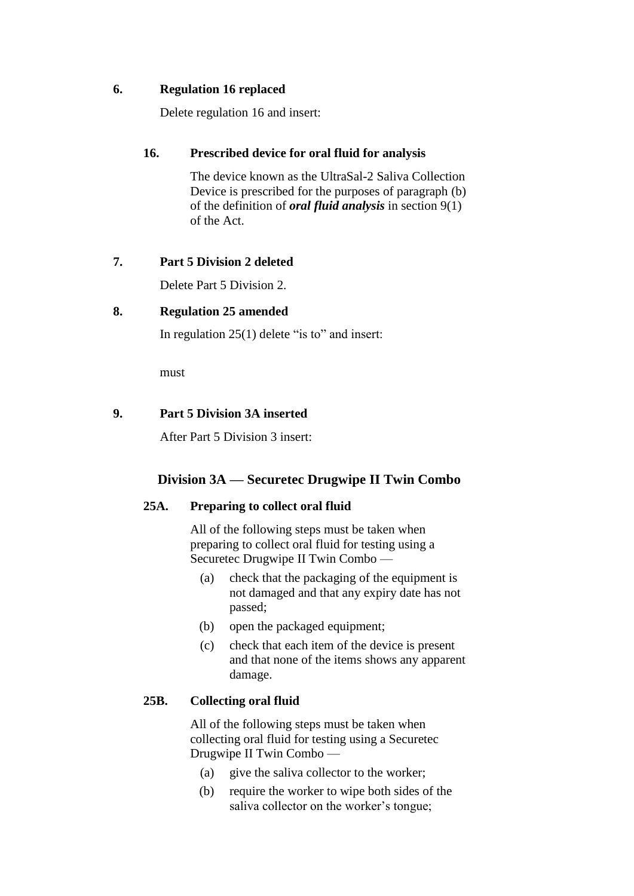### **6. Regulation 16 replaced**

Delete regulation 16 and insert:

### **16. Prescribed device for oral fluid for analysis**

The device known as the UltraSal-2 Saliva Collection Device is prescribed for the purposes of paragraph (b) of the definition of *oral fluid analysis* in section 9(1) of the Act.

# **7. Part 5 Division 2 deleted**

Delete Part 5 Division 2.

#### **8. Regulation 25 amended**

In regulation 25(1) delete "is to" and insert:

must

#### **9. Part 5 Division 3A inserted**

After Part 5 Division 3 insert:

# **Division 3A — Securetec Drugwipe II Twin Combo**

# **25A. Preparing to collect oral fluid**

All of the following steps must be taken when preparing to collect oral fluid for testing using a Securetec Drugwipe II Twin Combo —

- (a) check that the packaging of the equipment is not damaged and that any expiry date has not passed;
- (b) open the packaged equipment;
- (c) check that each item of the device is present and that none of the items shows any apparent damage.

# **25B. Collecting oral fluid**

All of the following steps must be taken when collecting oral fluid for testing using a Securetec Drugwipe II Twin Combo —

- (a) give the saliva collector to the worker;
- (b) require the worker to wipe both sides of the saliva collector on the worker's tongue;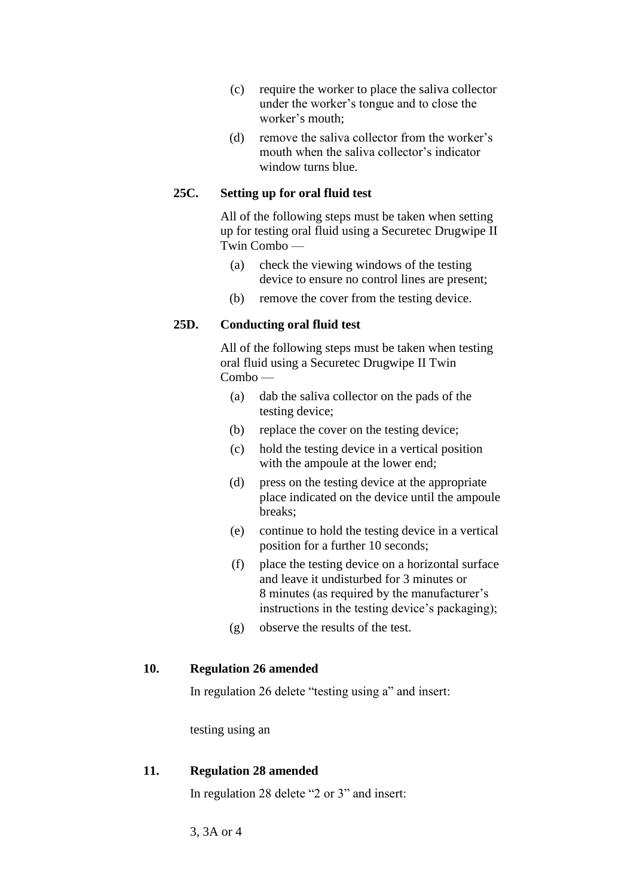- (c) require the worker to place the saliva collector under the worker's tongue and to close the worker's mouth;
- (d) remove the saliva collector from the worker's mouth when the saliva collector's indicator window turns blue.

### **25C. Setting up for oral fluid test**

All of the following steps must be taken when setting up for testing oral fluid using a Securetec Drugwipe II Twin Combo —

- (a) check the viewing windows of the testing device to ensure no control lines are present;
- (b) remove the cover from the testing device.

# **25D. Conducting oral fluid test**

All of the following steps must be taken when testing oral fluid using a Securetec Drugwipe II Twin Combo —

- (a) dab the saliva collector on the pads of the testing device;
- (b) replace the cover on the testing device;
- (c) hold the testing device in a vertical position with the ampoule at the lower end;
- (d) press on the testing device at the appropriate place indicated on the device until the ampoule breaks;
- (e) continue to hold the testing device in a vertical position for a further 10 seconds;
- (f) place the testing device on a horizontal surface and leave it undisturbed for 3 minutes or 8 minutes (as required by the manufacturer's instructions in the testing device's packaging);
- (g) observe the results of the test.

#### **10. Regulation 26 amended**

In regulation 26 delete "testing using a" and insert:

testing using an

#### **11. Regulation 28 amended**

In regulation 28 delete "2 or 3" and insert:

3, 3A or 4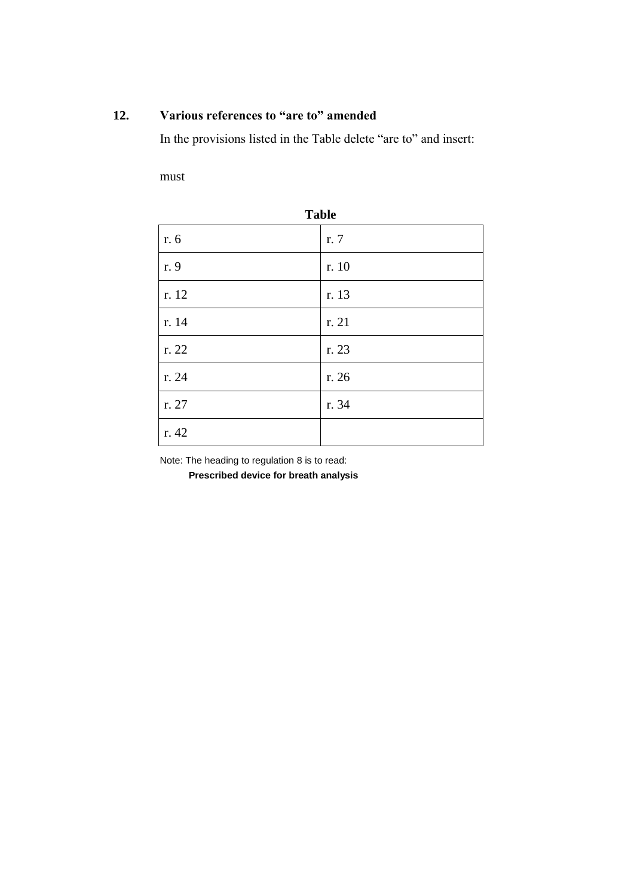# **12. Various references to "are to" amended**

In the provisions listed in the Table delete "are to" and insert:

must

| <b>Table</b> |       |
|--------------|-------|
| r. 6         | r. 7  |
| r. 9         | r. 10 |
| r. 12        | r. 13 |
| r. 14        | r. 21 |
| r. 22        | r. 23 |
| r. 24        | r. 26 |
| r. 27        | r. 34 |
| r. 42        |       |

**Table**

Note: The heading to regulation 8 is to read:

**Prescribed device for breath analysis**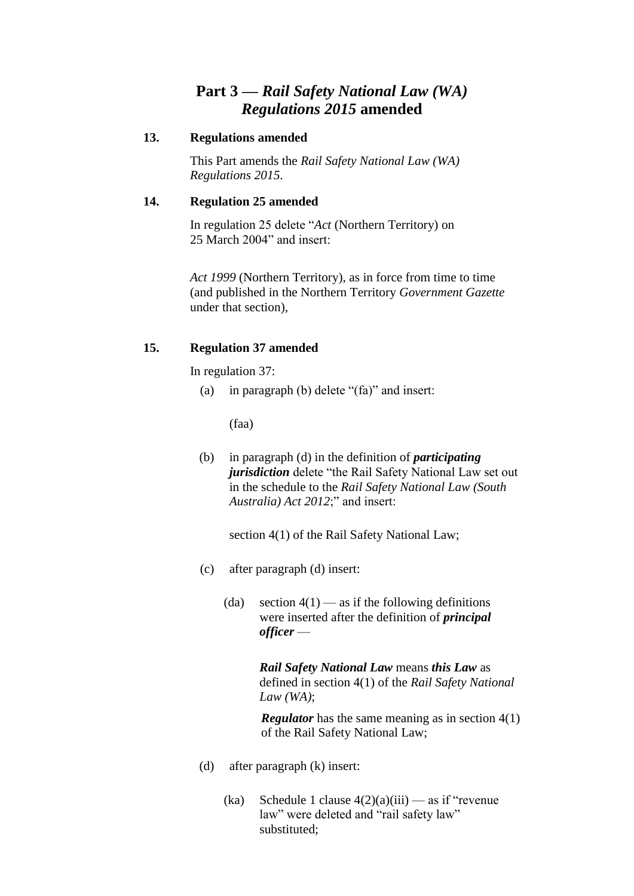# **Part 3 —** *Rail Safety National Law (WA) Regulations 2015* **amended**

#### **13. Regulations amended**

This Part amends the *Rail Safety National Law (WA) Regulations 2015*.

### **14. Regulation 25 amended**

In regulation 25 delete "*Act* (Northern Territory) on 25 March 2004" and insert:

*Act 1999* (Northern Territory), as in force from time to time (and published in the Northern Territory *Government Gazette* under that section),

# **15. Regulation 37 amended**

In regulation 37:

(a) in paragraph (b) delete "(fa)" and insert:

(faa)

(b) in paragraph (d) in the definition of *participating jurisdiction* delete "the Rail Safety National Law set out in the schedule to the *Rail Safety National Law (South Australia) Act 2012*;" and insert:

section 4(1) of the Rail Safety National Law;

- (c) after paragraph (d) insert:
	- (da) section  $4(1)$  as if the following definitions were inserted after the definition of *principal officer* —

*Rail Safety National Law* means *this Law* as defined in section 4(1) of the *Rail Safety National Law (WA)*;

*Regulator* has the same meaning as in section 4(1) of the Rail Safety National Law;

- (d) after paragraph (k) insert:
	- (ka) Schedule 1 clause  $4(2)(a)(iii)$  as if "revenue" law" were deleted and "rail safety law" substituted;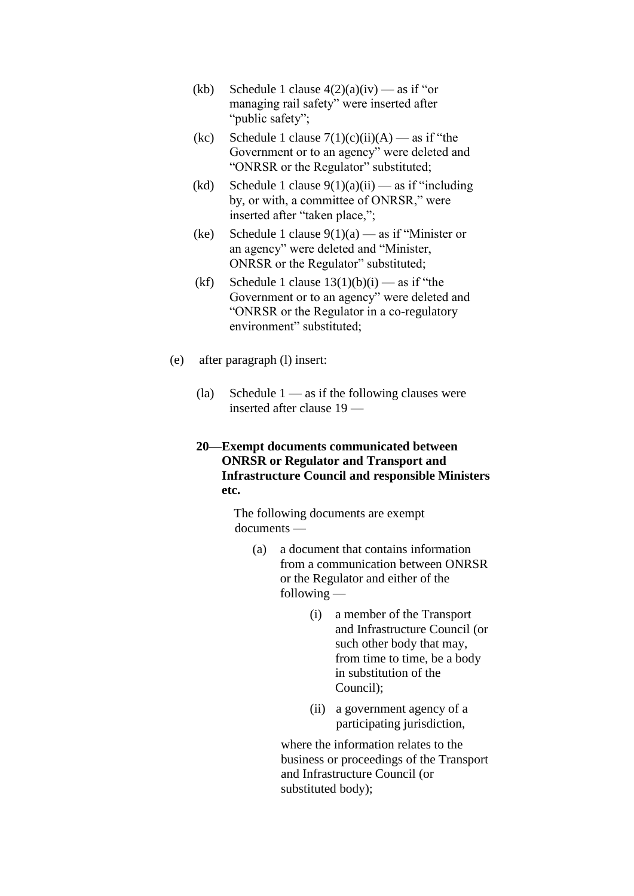- (kb) Schedule 1 clause  $4(2)(a)(iv)$  as if "or managing rail safety" were inserted after "public safety";
- (kc) Schedule 1 clause  $7(1)(c)(ii)(A)$  as if "the Government or to an agency" were deleted and "ONRSR or the Regulator" substituted;
- (kd) Schedule 1 clause  $9(1)(a)(ii)$  as if "including" by, or with, a committee of ONRSR," were inserted after "taken place,";
- (ke) Schedule 1 clause  $9(1)(a)$  as if "Minister or an agency" were deleted and "Minister, ONRSR or the Regulator" substituted;
- (kf) Schedule 1 clause  $13(1)(b)(i)$  as if "the Government or to an agency" were deleted and "ONRSR or the Regulator in a co-regulatory environment" substituted;
- (e) after paragraph (l) insert:
	- (la) Schedule  $1 -$  as if the following clauses were inserted after clause 19 —

#### **20—Exempt documents communicated between ONRSR or Regulator and Transport and Infrastructure Council and responsible Ministers etc.**

The following documents are exempt documents —

- (a) a document that contains information from a communication between ONRSR or the Regulator and either of the following —
	- (i) a member of the Transport and Infrastructure Council (or such other body that may, from time to time, be a body in substitution of the Council);
	- (ii) a government agency of a participating jurisdiction,

where the information relates to the business or proceedings of the Transport and Infrastructure Council (or substituted body);